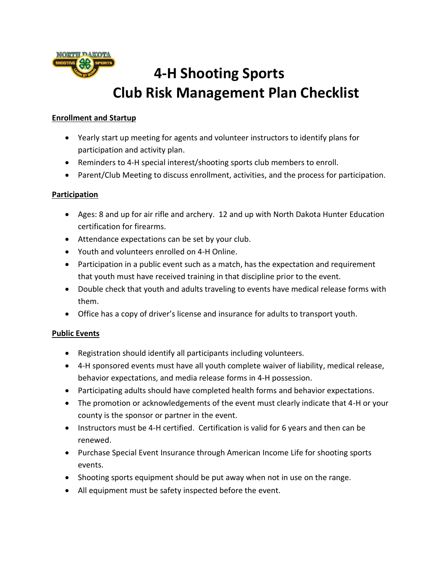

# **4-H Shooting Sports Club Risk Management Plan Checklist**

## **Enrollment and Startup**

- Yearly start up meeting for agents and volunteer instructors to identify plans for participation and activity plan.
- Reminders to 4-H special interest/shooting sports club members to enroll.
- Parent/Club Meeting to discuss enrollment, activities, and the process for participation.

### **Participation**

- Ages: 8 and up for air rifle and archery. 12 and up with North Dakota Hunter Education certification for firearms.
- Attendance expectations can be set by your club.
- Youth and volunteers enrolled on 4-H Online.
- Participation in a public event such as a match, has the expectation and requirement that youth must have received training in that discipline prior to the event.
- Double check that youth and adults traveling to events have medical release forms with them.
- Office has a copy of driver's license and insurance for adults to transport youth.

### **Public Events**

- Registration should identify all participants including volunteers.
- 4-H sponsored events must have all youth complete waiver of liability, medical release, behavior expectations, and media release forms in 4-H possession.
- Participating adults should have completed health forms and behavior expectations.
- The promotion or acknowledgements of the event must clearly indicate that 4-H or your county is the sponsor or partner in the event.
- Instructors must be 4-H certified. Certification is valid for 6 years and then can be renewed.
- Purchase Special Event Insurance through American Income Life for shooting sports events.
- Shooting sports equipment should be put away when not in use on the range.
- All equipment must be safety inspected before the event.